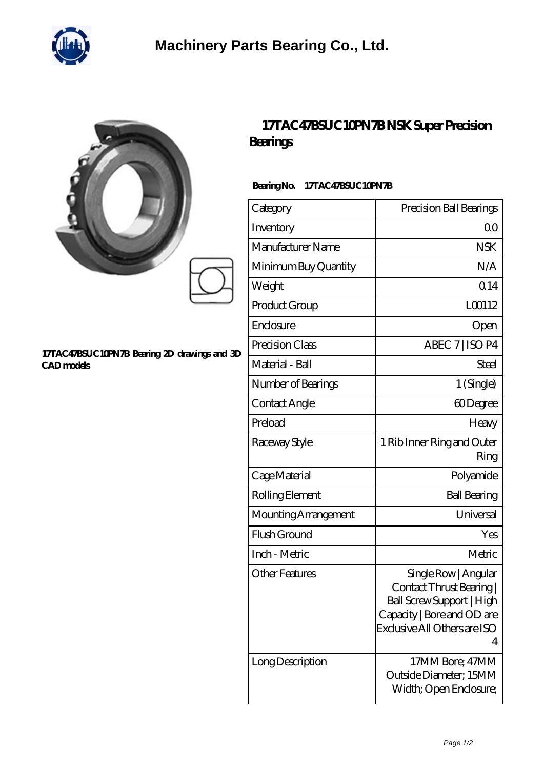

| 17TAC47BSUC10PN7B Bearing 2D drawings and 3D<br>CAD models | 17TAC47BSUC10PN7BNSK SuperPrecision<br><b>Bearings</b><br>BearingNo.<br>17TAC47BSUC10PN7B |                         |
|------------------------------------------------------------|-------------------------------------------------------------------------------------------|-------------------------|
|                                                            | Category                                                                                  | Precision Ball Bearings |
|                                                            | Inventory                                                                                 | 0 <sup>0</sup>          |
|                                                            | Manufacturer Name                                                                         | <b>NSK</b>              |
|                                                            | Minimum Buy Quantity                                                                      | N/A                     |
|                                                            | Weight                                                                                    | Q <sub>14</sub>         |
|                                                            | Product Group                                                                             | L00112                  |
|                                                            | Enclosure                                                                                 | Open                    |
|                                                            | Precision Class                                                                           | ABEC 7   ISO P4         |
|                                                            | Material - Ball                                                                           | <b>Steel</b>            |
|                                                            | Number of Bearings                                                                        | 1 (Single)              |
|                                                            | Contact Angle                                                                             | 60Degree                |

Preload Heavy

Raceway Style 1 Rib Inner Ring and Outer

Cage Material Polyamide

Rolling Element Ball Bearing

Mounting Arrangement | Universal Flush Ground Yes

Inch - Metric and Metric Metric Metric

Other Features Single Row | Angular

Long Description 17MM Bore; 47MM

Ring

4

| 111111111010, 11111111 |
|------------------------|
| Outside Diameter; 15MM |
| Width; Open Enclosure; |
|                        |
|                        |
|                        |

Contact Thrust Bearing | Ball Screw Support | High Capacity | Bore and OD are Exclusive All Others are ISO